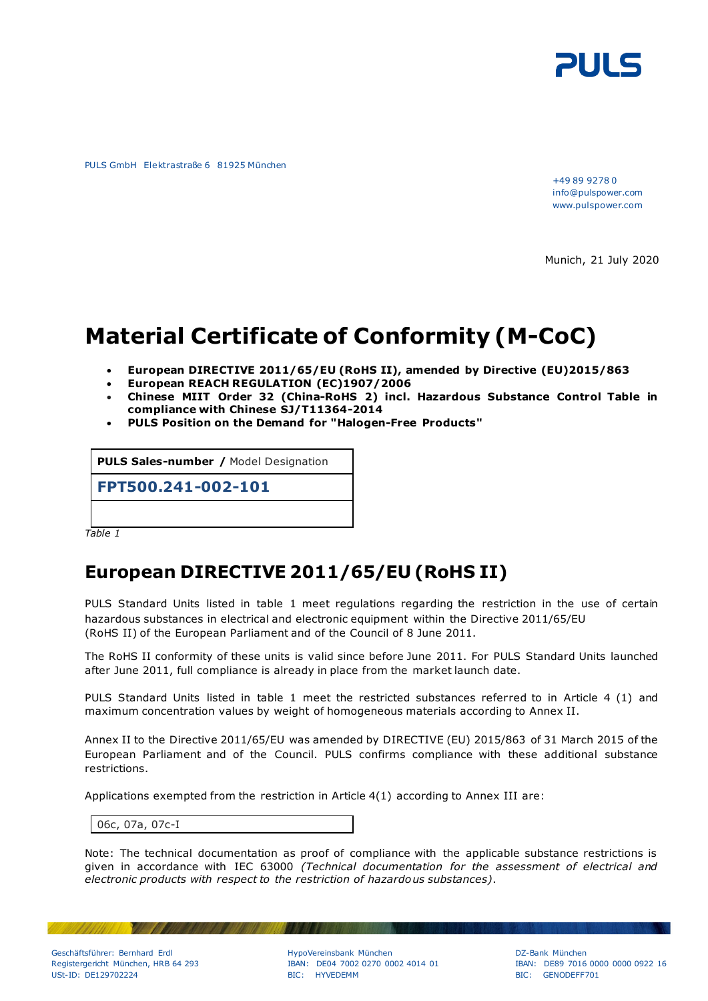

PULS GmbH Elektrastraße 6 81925 München

+49 89 9278 0 info@pulspower.com www.pulspower.com

Munich, 21 July 2020

# **Material Certificate of Conformity (M-CoC)**

- **European DIRECTIVE 2011/65/EU (RoHS II), amended by Directive [\(EU\)2015/863](http://eur-lex.europa.eu/legal-content/EN-DE/TXT/?qid=1456163581990&uri=CELEX:32015L0863&from=EN)**
- **European REACH REGULATION (EC)1907/2006**
- **Chinese MIIT Order 32 (China-RoHS 2) incl. Hazardous Substance Control Table in compliance with Chinese SJ/T11364-2014**
- **PULS Position on the Demand for "Halogen-Free Products"**

**PULS Sales-number /** Model Designation

**FPT500.241-002-101**

*Table 1*

#### **European DIRECTIVE 2011/65/EU (RoHS II)**

PULS Standard Units listed in table 1 meet regulations regarding the restriction in the use of certain hazardous substances in electrical and electronic equipment within the Directive 2011/65/EU (RoHS II) of the European Parliament and of the Council of 8 June 2011.

The RoHS II conformity of these units is valid since before June 2011. For PULS Standard Units launched after June 2011, full compliance is already in place from the market launch date.

PULS Standard Units listed in table 1 meet the restricted substances referred to in Article 4 (1) and maximum concentration values by weight of homogeneous materials according to Annex II.

Annex II to the Directive 2011/65/EU was amended by [DIRECTIVE \(EU\) 2015/863](http://eur-lex.europa.eu/legal-content/EN-DE/TXT/?qid=1456163581990&uri=CELEX:32015L0863&from=EN) of 31 March 2015 of the European Parliament and of the Council. PULS confirms compliance with these additional substance restrictions.

Applications exempted from the restriction in Article 4(1) according to Annex III are:

06c, 07a, 07c-I

**Contract Contract Contract Contract** 

Note: The technical documentation as proof of compliance with the applicable substance restrictions is given in accordance with IEC 63000 *(Technical documentation for the assessment of electrical and electronic products with respect to the restriction of hazardous substances)*.

Geschäftsführer: Bernhard Erdl HypoVereinsbank München DZ-Bank München

Registergericht München, HRB 64 293 IBAN: DE04 7002 0270 0002 4014 01 IBAN: DE89 7016 0000 0000 0922 16 USt-ID: DE129702224 BIC: HYVEDEMM BIC: GENODEFF701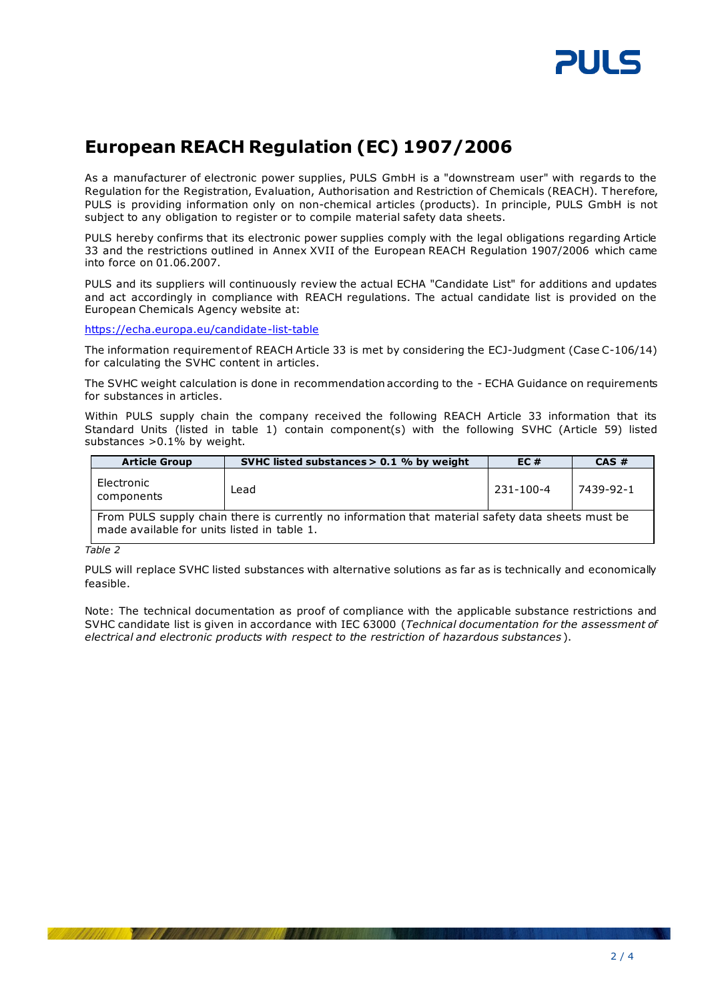

### **European REACH Regulation (EC) 1907/2006**

As a manufacturer of electronic power supplies, PULS GmbH is a "downstream user" with regards to the Regulation for the Registration, Evaluation, Authorisation and Restriction of Chemicals (REACH). Therefore, PULS is providing information only on non-chemical articles (products). In principle, PULS GmbH is not subject to any obligation to register or to compile material safety data sheets.

PULS hereby confirms that its electronic power supplies comply with the legal obligations regarding Article 33 and the restrictions outlined in Annex XVII of the European REACH Regulation 1907/2006 which came into force on 01.06.2007.

PULS and its suppliers will continuously review the actual ECHA "Candidate List" for additions and updates and act accordingly in compliance with REACH regulations. The actual candidate list is provided on the European Chemicals Agency website at:

<https://echa.europa.eu/candidate-list-table>

The information requirement of REACH Article 33 is met by considering the ECJ-Judgment (Case C-106/14) for calculating the SVHC content in articles.

The SVHC weight calculation is done in recommendation according to the - ECHA Guidance on requirements for substances in articles.

Within PULS supply chain the company received the following REACH Article 33 information that its Standard Units (listed in table 1) contain component(s) with the following SVHC (Article 59) listed substances  $>0.1\%$  by weight.

| <b>Article Group</b>                                                                                                                             | SVHC listed substances $> 0.1$ % by weight | EC#       | CAS#      |  |  |  |  |
|--------------------------------------------------------------------------------------------------------------------------------------------------|--------------------------------------------|-----------|-----------|--|--|--|--|
| Electronic<br>components                                                                                                                         | Lead                                       | 231-100-4 | 7439-92-1 |  |  |  |  |
| From PULS supply chain there is currently no information that material safety data sheets must be<br>made available for units listed in table 1. |                                            |           |           |  |  |  |  |

*Table 2*

PULS will replace SVHC listed substances with alternative solutions as far as is technically and economically feasible.

Note: The technical documentation as proof of compliance with the applicable substance restrictions and SVHC candidate list is given in accordance with IEC 63000 (*Technical documentation for the assessment of electrical and electronic products with respect to the restriction of hazardous substances* ).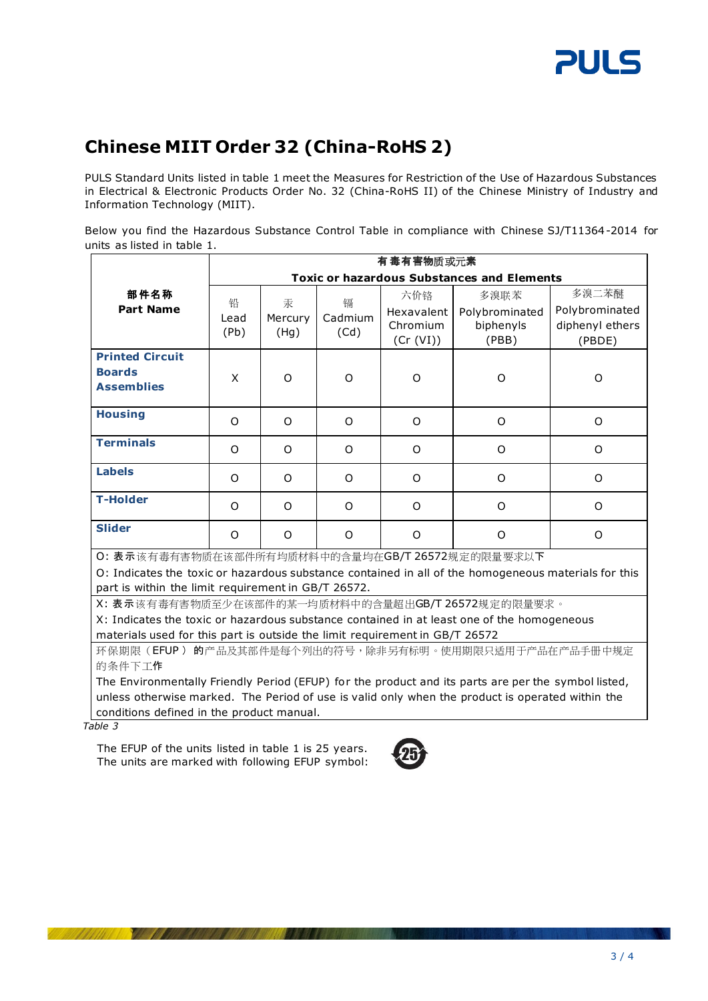

## **Chinese MIIT Order 32 (China-RoHS 2)**

PULS Standard Units listed in table 1 meet the Measures for Restriction of the Use of Hazardous Substances in Electrical & Electronic Products Order No. 32 (China-RoHS II) of the Chinese Ministry of Industry and Information Technology (MIIT).

Below you find the Hazardous Substance Control Table in compliance with Chinese SJ/T11364-2014 for units as listed in table 1.

|                                                                                                      | 有毒有害物质或元素                                         |              |              |                       |                    |                           |  |  |
|------------------------------------------------------------------------------------------------------|---------------------------------------------------|--------------|--------------|-----------------------|--------------------|---------------------------|--|--|
|                                                                                                      | <b>Toxic or hazardous Substances and Elements</b> |              |              |                       |                    |                           |  |  |
| 部件名称<br><b>Part Name</b>                                                                             | 铅<br>Lead                                         | 汞<br>Mercury | 镉<br>Cadmium | 六价铬                   | 多溴联苯               | 多溴二苯醚                     |  |  |
|                                                                                                      |                                                   |              |              | Hexavalent            | Polybrominated     | Polybrominated            |  |  |
|                                                                                                      | (Pb)                                              | (Hg)         | (Cd)         | Chromium<br>(Cr (VI)) | biphenyls<br>(PBB) | diphenyl ethers<br>(PBDE) |  |  |
| <b>Printed Circuit</b>                                                                               |                                                   |              |              |                       |                    |                           |  |  |
| <b>Boards</b>                                                                                        | X                                                 | O            | O            | O                     | O                  | O                         |  |  |
| <b>Assemblies</b>                                                                                    |                                                   |              |              |                       |                    |                           |  |  |
| <b>Housing</b>                                                                                       | $\Omega$                                          | O            | $\Omega$     | $\Omega$              | O                  | $\Omega$                  |  |  |
| <b>Terminals</b>                                                                                     | $\Omega$                                          | O            | O            | O                     | O                  | O                         |  |  |
| <b>Labels</b>                                                                                        | $\Omega$                                          | O            | $\Omega$     | $\Omega$              | $\Omega$           | O                         |  |  |
| <b>T-Holder</b>                                                                                      | $\Omega$                                          | $\Omega$     | $\Omega$     | $\Omega$              | O                  | $\Omega$                  |  |  |
| <b>Slider</b>                                                                                        | $\Omega$                                          | O            | $\Omega$     | $\Omega$              | $\Omega$           | O                         |  |  |
| O: 表示该有毒有害物质在该部件所有均质材料中的含量均在GB/T 26572规定的限量要求以下                                                      |                                                   |              |              |                       |                    |                           |  |  |
| O: Indicates the toxic or hazardous substance contained in all of the homogeneous materials for this |                                                   |              |              |                       |                    |                           |  |  |
| part is within the limit requirement in GB/T 26572.                                                  |                                                   |              |              |                       |                    |                           |  |  |

X: 表示该有毒有害物质至少在该部件的某一均质材料中的含量超出GB/T 26572规定的限量要求。

X: Indicates the toxic or hazardous substance contained in at least one of the homogeneous materials used for this part is outside the limit requirement in GB/T 26572

环保期限(EFUP)的产品及其部件是每个列出的符号,除非另有标明。使用期限只适用于产品在产品手册中规定 的条件下工作

The Environmentally Friendly Period (EFUP) for the product and its parts are per the symbol listed, unless otherwise marked. The Period of use is valid only when the product is operated within the conditions defined in the product manual.

 *Table 3*

The EFUP of the units listed in table 1 is 25 years. The units are marked with following EFUP symbol: